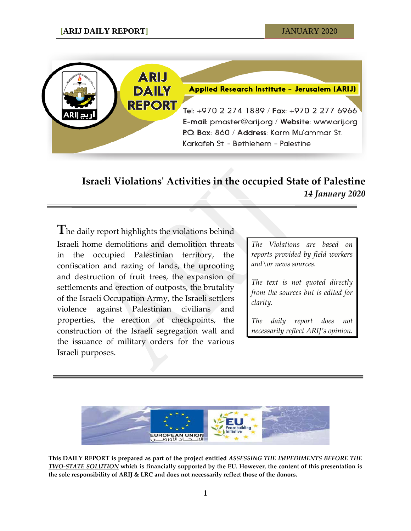

# **Israeli Violations' Activities in the occupied State of Palestine** *14 January 2020*

**T**he daily report highlights the violations behind Israeli home demolitions and demolition threats in the occupied Palestinian territory, the confiscation and razing of lands, the uprooting and destruction of fruit trees, the expansion of settlements and erection of outposts, the brutality of the Israeli Occupation Army, the Israeli settlers violence against Palestinian civilians and properties, the erection of checkpoints, the construction of the Israeli segregation wall and the issuance of military orders for the various Israeli purposes.

*The Violations are based on reports provided by field workers and\or news sources.*

*The text is not quoted directly from the sources but is edited for clarity.*

*The daily report does not necessarily reflect ARIJ's opinion.*



**This DAILY REPORT is prepared as part of the project entitled** *ASSESSING THE IMPEDIMENTS BEFORE THE TWO-STATE SOLUTION* **which is financially supported by the EU. However, the content of this presentation is the sole responsibility of ARIJ & LRC and does not necessarily reflect those of the donors.**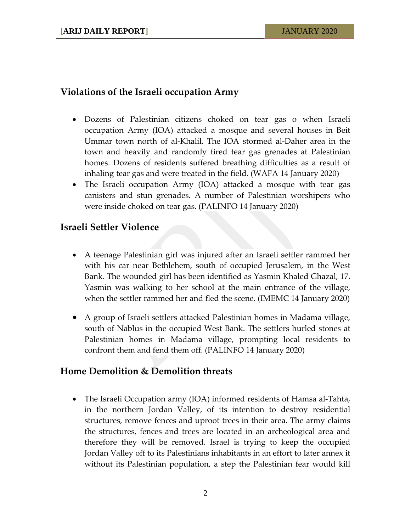## **Violations of the Israeli occupation Army**

- Dozens of Palestinian citizens choked on tear gas o when Israeli occupation Army (IOA) attacked a mosque and several houses in Beit Ummar town north of al-Khalil. The IOA stormed al-Daher area in the town and heavily and randomly fired tear gas grenades at Palestinian homes. Dozens of residents suffered breathing difficulties as a result of inhaling tear gas and were treated in the field. (WAFA 14 January 2020)
- The Israeli occupation Army (IOA) attacked a mosque with tear gas canisters and stun grenades. A number of Palestinian worshipers who were inside choked on tear gas. (PALINFO 14 January 2020)

## **Israeli Settler Violence**

- A teenage Palestinian girl was injured after an Israeli settler rammed her with his car near Bethlehem, south of occupied Jerusalem, in the West Bank. The wounded girl has been identified as Yasmin Khaled Ghazal, 17. Yasmin was walking to her school at the main entrance of the village, when the settler rammed her and fled the scene. (IMEMC 14 January 2020)
- A group of Israeli settlers attacked Palestinian homes in Madama village, south of Nablus in the occupied West Bank. The settlers hurled stones at Palestinian homes in Madama village, prompting local residents to confront them and fend them off. (PALINFO 14 January 2020)

#### **Home Demolition & Demolition threats**

• The Israeli Occupation army (IOA) informed residents of Hamsa al-Tahta, in the northern Jordan Valley, of its intention to destroy residential structures, remove fences and uproot trees in their area. The army claims the structures, fences and trees are located in an archeological area and therefore they will be removed. Israel is trying to keep the occupied Jordan Valley off to its Palestinians inhabitants in an effort to later annex it without its Palestinian population, a step the Palestinian fear would kill